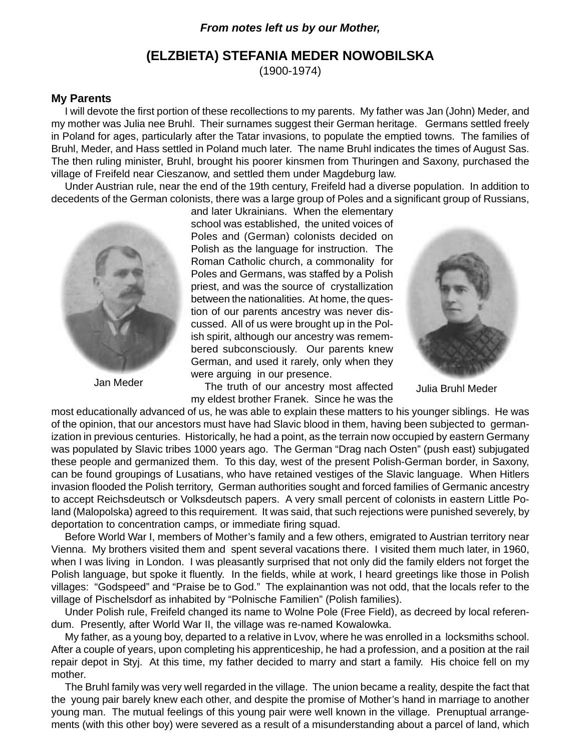# **From notes left us by our Mother,**

# **(ELZBIETA) STEFANIA MEDER NOWOBILSKA**

(1900-1974)

# **My Parents**

I will devote the first portion of these recollections to my parents. My father was Jan (John) Meder, and my mother was Julia nee Bruhl. Their surnames suggest their German heritage. Germans settled freely in Poland for ages, particularly after the Tatar invasions, to populate the emptied towns. The families of Bruhl, Meder, and Hass settled in Poland much later. The name Bruhl indicates the times of August Sas. The then ruling minister, Bruhl, brought his poorer kinsmen from Thuringen and Saxony, purchased the village of Freifeld near Cieszanow, and settled them under Magdeburg law.

Under Austrian rule, near the end of the 19th century, Freifeld had a diverse population. In addition to decedents of the German colonists, there was a large group of Poles and a significant group of Russians,



and later Ukrainians. When the elementary school was established, the united voices of Poles and (German) colonists decided on Polish as the language for instruction. The Roman Catholic church, a commonality for Poles and Germans, was staffed by a Polish priest, and was the source of crystallization between the nationalities. At home, the question of our parents ancestry was never discussed. All of us were brought up in the Polish spirit, although our ancestry was remembered subconsciously. Our parents knew German, and used it rarely, only when they were arguing in our presence.

Jan Meder **The Truth of our ancestry most affected** Julia Bruhl Meder my eldest brother Franek. Since he was the



most educationally advanced of us, he was able to explain these matters to his younger siblings. He was of the opinion, that our ancestors must have had Slavic blood in them, having been subjected to germanization in previous centuries. Historically, he had a point, as the terrain now occupied by eastern Germany was populated by Slavic tribes 1000 years ago. The German "Drag nach Osten" (push east) subjugated these people and germanized them. To this day, west of the present Polish-German border, in Saxony, can be found groupings of Lusatians, who have retained vestiges of the Slavic language. When Hitlers invasion flooded the Polish territory, German authorities sought and forced families of Germanic ancestry to accept Reichsdeutsch or Volksdeutsch papers. A very small percent of colonists in eastern Little Poland (Malopolska) agreed to this requirement. It was said, that such rejections were punished severely, by deportation to concentration camps, or immediate firing squad.

Before World War I, members of Mother's family and a few others, emigrated to Austrian territory near Vienna. My brothers visited them and spent several vacations there. I visited them much later, in 1960, when I was living in London. I was pleasantly surprised that not only did the family elders not forget the Polish language, but spoke it fluently. In the fields, while at work, I heard greetings like those in Polish villages: "Godspeed" and "Praise be to God." The explainantion was not odd, that the locals refer to the village of Pischelsdorf as inhabited by "Polnische Familien" (Polish families).

Under Polish rule, Freifeld changed its name to Wolne Pole (Free Field), as decreed by local referendum. Presently, after World War II, the village was re-named Kowalowka.

My father, as a young boy, departed to a relative in Lvov, where he was enrolled in a locksmiths school. After a couple of years, upon completing his apprenticeship, he had a profession, and a position at the rail repair depot in Styj. At this time, my father decided to marry and start a family. His choice fell on my mother.

The Bruhl family was very well regarded in the village. The union became a reality, despite the fact that the young pair barely knew each other, and despite the promise of Mother's hand in marriage to another young man. The mutual feelings of this young pair were well known in the village. Prenuptual arrangements (with this other boy) were severed as a result of a misunderstanding about a parcel of land, which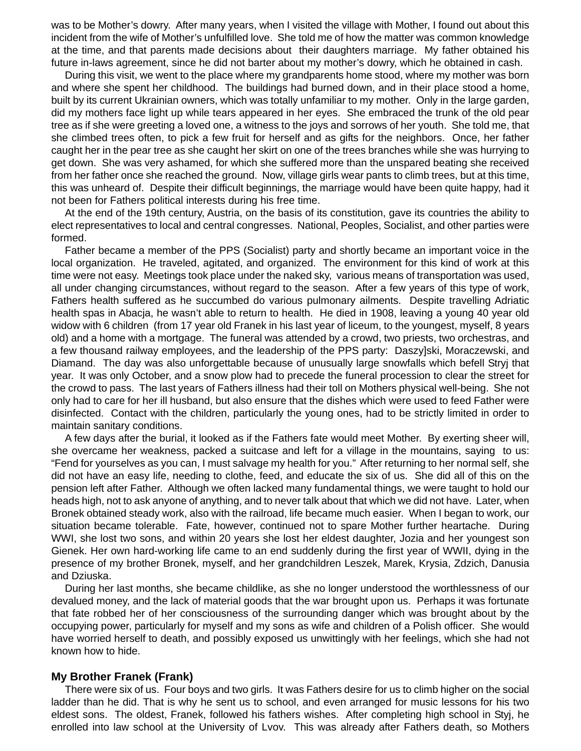was to be Mother's dowry. After many years, when I visited the village with Mother, I found out about this incident from the wife of Mother's unfulfilled love. She told me of how the matter was common knowledge at the time, and that parents made decisions about their daughters marriage. My father obtained his future in-laws agreement, since he did not barter about my mother's dowry, which he obtained in cash.

During this visit, we went to the place where my grandparents home stood, where my mother was born and where she spent her childhood. The buildings had burned down, and in their place stood a home, built by its current Ukrainian owners, which was totally unfamiliar to my mother. Only in the large garden, did my mothers face light up while tears appeared in her eyes. She embraced the trunk of the old pear tree as if she were greeting a loved one, a witness to the joys and sorrows of her youth. She told me, that she climbed trees often, to pick a few fruit for herself and as gifts for the neighbors. Once, her father caught her in the pear tree as she caught her skirt on one of the trees branches while she was hurrying to get down. She was very ashamed, for which she suffered more than the unspared beating she received from her father once she reached the ground. Now, village girls wear pants to climb trees, but at this time, this was unheard of. Despite their difficult beginnings, the marriage would have been quite happy, had it not been for Fathers political interests during his free time.

At the end of the 19th century, Austria, on the basis of its constitution, gave its countries the ability to elect representatives to local and central congresses. National, Peoples, Socialist, and other parties were formed.

Father became a member of the PPS (Socialist) party and shortly became an important voice in the local organization. He traveled, agitated, and organized. The environment for this kind of work at this time were not easy. Meetings took place under the naked sky, various means of transportation was used, all under changing circumstances, without regard to the season. After a few years of this type of work, Fathers health suffered as he succumbed do various pulmonary ailments. Despite travelling Adriatic health spas in Abacja, he wasn't able to return to health. He died in 1908, leaving a young 40 year old widow with 6 children (from 17 year old Franek in his last year of liceum, to the youngest, myself, 8 years old) and a home with a mortgage. The funeral was attended by a crowd, two priests, two orchestras, and a few thousand railway employees, and the leadership of the PPS party: Daszy]ski, Moraczewski, and Diamand. The day was also unforgettable because of unusually large snowfalls which befell Stryj that year. It was only October, and a snow plow had to precede the funeral procession to clear the street for the crowd to pass. The last years of Fathers illness had their toll on Mothers physical well-being. She not only had to care for her ill husband, but also ensure that the dishes which were used to feed Father were disinfected. Contact with the children, particularly the young ones, had to be strictly limited in order to maintain sanitary conditions.

A few days after the burial, it looked as if the Fathers fate would meet Mother. By exerting sheer will, she overcame her weakness, packed a suitcase and left for a village in the mountains, saying to us: "Fend for yourselves as you can, I must salvage my health for you." After returning to her normal self, she did not have an easy life, needing to clothe, feed, and educate the six of us. She did all of this on the pension left after Father. Although we often lacked many fundamental things, we were taught to hold our heads high, not to ask anyone of anything, and to never talk about that which we did not have. Later, when Bronek obtained steady work, also with the railroad, life became much easier. When I began to work, our situation became tolerable. Fate, however, continued not to spare Mother further heartache. During WWI, she lost two sons, and within 20 years she lost her eldest daughter, Jozia and her youngest son Gienek. Her own hard-working life came to an end suddenly during the first year of WWII, dying in the presence of my brother Bronek, myself, and her grandchildren Leszek, Marek, Krysia, Zdzich, Danusia and Dziuska.

During her last months, she became childlike, as she no longer understood the worthlessness of our devalued money, and the lack of material goods that the war brought upon us. Perhaps it was fortunate that fate robbed her of her consciousness of the surrounding danger which was brought about by the occupying power, particularly for myself and my sons as wife and children of a Polish officer. She would have worried herself to death, and possibly exposed us unwittingly with her feelings, which she had not known how to hide.

#### **My Brother Franek (Frank)**

There were six of us. Four boys and two girls. It was Fathers desire for us to climb higher on the social ladder than he did. That is why he sent us to school, and even arranged for music lessons for his two eldest sons. The oldest, Franek, followed his fathers wishes. After completing high school in Styj, he enrolled into law school at the University of Lvov. This was already after Fathers death, so Mothers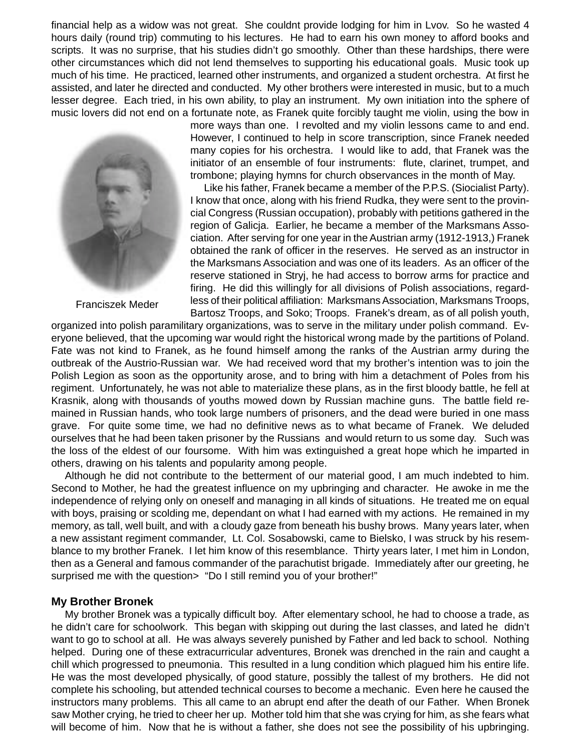financial help as a widow was not great. She couldnt provide lodging for him in Lvov. So he wasted 4 hours daily (round trip) commuting to his lectures. He had to earn his own money to afford books and scripts. It was no surprise, that his studies didn't go smoothly. Other than these hardships, there were other circumstances which did not lend themselves to supporting his educational goals. Music took up much of his time. He practiced, learned other instruments, and organized a student orchestra. At first he assisted, and later he directed and conducted. My other brothers were interested in music, but to a much lesser degree. Each tried, in his own ability, to play an instrument. My own initiation into the sphere of music lovers did not end on a fortunate note, as Franek quite forcibly taught me violin, using the bow in



Franciszek Meder

more ways than one. I revolted and my violin lessons came to and end. However, I continued to help in score transcription, since Franek needed many copies for his orchestra. I would like to add, that Franek was the initiator of an ensemble of four instruments: flute, clarinet, trumpet, and trombone; playing hymns for church observances in the month of May.

Like his father, Franek became a member of the P.P.S. (Siocialist Party). I know that once, along with his friend Rudka, they were sent to the provincial Congress (Russian occupation), probably with petitions gathered in the region of Galicja. Earlier, he became a member of the Marksmans Association. After serving for one year in the Austrian army (1912-1913,) Franek obtained the rank of officer in the reserves. He served as an instructor in the Marksmans Association and was one of its leaders. As an officer of the reserve stationed in Stryj, he had access to borrow arms for practice and firing. He did this willingly for all divisions of Polish associations, regardless of their political affiliation: Marksmans Association, Marksmans Troops, Bartosz Troops, and Soko; Troops. Franek's dream, as of all polish youth,

organized into polish paramilitary organizations, was to serve in the military under polish command. Everyone believed, that the upcoming war would right the historical wrong made by the partitions of Poland. Fate was not kind to Franek, as he found himself among the ranks of the Austrian army during the outbreak of the Austrio-Russian war. We had received word that my brother's intention was to join the Polish Legion as soon as the opportunity arose, and to bring with him a detachment of Poles from his regiment. Unfortunately, he was not able to materialize these plans, as in the first bloody battle, he fell at Krasnik, along with thousands of youths mowed down by Russian machine guns. The battle field remained in Russian hands, who took large numbers of prisoners, and the dead were buried in one mass grave. For quite some time, we had no definitive news as to what became of Franek. We deluded ourselves that he had been taken prisoner by the Russians and would return to us some day. Such was the loss of the eldest of our foursome. With him was extinguished a great hope which he imparted in others, drawing on his talents and popularity among people.

Although he did not contribute to the betterment of our material good, I am much indebted to him. Second to Mother, he had the greatest influence on my upbringing and character. He awoke in me the independence of relying only on oneself and managing in all kinds of situations. He treated me on equal with boys, praising or scolding me, dependant on what I had earned with my actions. He remained in my memory, as tall, well built, and with a cloudy gaze from beneath his bushy brows. Many years later, when a new assistant regiment commander, Lt. Col. Sosabowski, came to Bielsko, I was struck by his resemblance to my brother Franek. I let him know of this resemblance. Thirty years later, I met him in London, then as a General and famous commander of the parachutist brigade. Immediately after our greeting, he surprised me with the question> "Do I still remind you of your brother!"

## **My Brother Bronek**

My brother Bronek was a typically difficult boy. After elementary school, he had to choose a trade, as he didn't care for schoolwork. This began with skipping out during the last classes, and lated he didn't want to go to school at all. He was always severely punished by Father and led back to school. Nothing helped. During one of these extracurricular adventures, Bronek was drenched in the rain and caught a chill which progressed to pneumonia. This resulted in a lung condition which plagued him his entire life. He was the most developed physically, of good stature, possibly the tallest of my brothers. He did not complete his schooling, but attended technical courses to become a mechanic. Even here he caused the instructors many problems. This all came to an abrupt end after the death of our Father. When Bronek saw Mother crying, he tried to cheer her up. Mother told him that she was crying for him, as she fears what will become of him. Now that he is without a father, she does not see the possibility of his upbringing.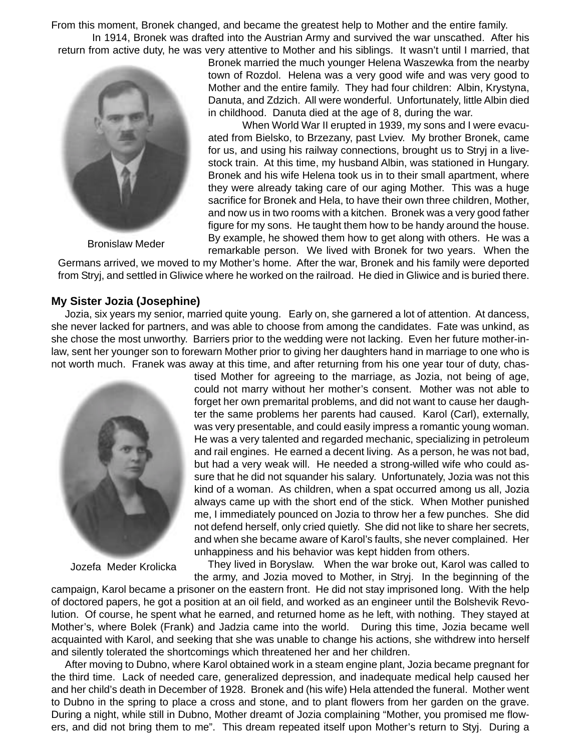From this moment, Bronek changed, and became the greatest help to Mother and the entire family.

In 1914, Bronek was drafted into the Austrian Army and survived the war unscathed. After his return from active duty, he was very attentive to Mother and his siblings. It wasn't until I married, that



Bronislaw Meder

Bronek married the much younger Helena Waszewka from the nearby town of Rozdol. Helena was a very good wife and was very good to Mother and the entire family. They had four children: Albin, Krystyna, Danuta, and Zdzich. All were wonderful. Unfortunately, little Albin died in childhood. Danuta died at the age of 8, during the war.

When World War II erupted in 1939, my sons and I were evacuated from Bielsko, to Brzezany, past Lviev. My brother Bronek, came for us, and using his railway connections, brought us to Stryj in a livestock train. At this time, my husband Albin, was stationed in Hungary. Bronek and his wife Helena took us in to their small apartment, where they were already taking care of our aging Mother. This was a huge sacrifice for Bronek and Hela, to have their own three children, Mother, and now us in two rooms with a kitchen. Bronek was a very good father figure for my sons. He taught them how to be handy around the house. By example, he showed them how to get along with others. He was a remarkable person. We lived with Bronek for two years. When the

Germans arrived, we moved to my Mother's home. After the war, Bronek and his family were deported from Stryj, and settled in Gliwice where he worked on the railroad. He died in Gliwice and is buried there.

# **My Sister Jozia (Josephine)**

Jozia, six years my senior, married quite young. Early on, she garnered a lot of attention. At dancess, she never lacked for partners, and was able to choose from among the candidates. Fate was unkind, as she chose the most unworthy. Barriers prior to the wedding were not lacking. Even her future mother-inlaw, sent her younger son to forewarn Mother prior to giving her daughters hand in marriage to one who is not worth much. Franek was away at this time, and after returning from his one year tour of duty, chas-



Jozefa Meder Krolicka

tised Mother for agreeing to the marriage, as Jozia, not being of age, could not marry without her mother's consent. Mother was not able to forget her own premarital problems, and did not want to cause her daughter the same problems her parents had caused. Karol (Carl), externally, was very presentable, and could easily impress a romantic young woman. He was a very talented and regarded mechanic, specializing in petroleum and rail engines. He earned a decent living. As a person, he was not bad, but had a very weak will. He needed a strong-willed wife who could assure that he did not squander his salary. Unfortunately, Jozia was not this kind of a woman. As children, when a spat occurred among us all, Jozia always came up with the short end of the stick. When Mother punished me, I immediately pounced on Jozia to throw her a few punches. She did not defend herself, only cried quietly. She did not like to share her secrets, and when she became aware of Karol's faults, she never complained. Her unhappiness and his behavior was kept hidden from others.

They lived in Boryslaw. When the war broke out, Karol was called to the army, and Jozia moved to Mother, in Stryj. In the beginning of the campaign, Karol became a prisoner on the eastern front. He did not stay imprisoned long. With the help of doctored papers, he got a position at an oil field, and worked as an engineer until the Bolshevik Revolution. Of course, he spent what he earned, and returned home as he left, with nothing. They stayed at Mother's, where Bolek (Frank) and Jadzia came into the world. During this time, Jozia became well acquainted with Karol, and seeking that she was unable to change his actions, she withdrew into herself

and silently tolerated the shortcomings which threatened her and her children. After moving to Dubno, where Karol obtained work in a steam engine plant, Jozia became pregnant for the third time. Lack of needed care, generalized depression, and inadequate medical help caused her and her child's death in December of 1928. Bronek and (his wife) Hela attended the funeral. Mother went to Dubno in the spring to place a cross and stone, and to plant flowers from her garden on the grave. During a night, while still in Dubno, Mother dreamt of Jozia complaining "Mother, you promised me flowers, and did not bring them to me". This dream repeated itself upon Mother's return to Styj. During a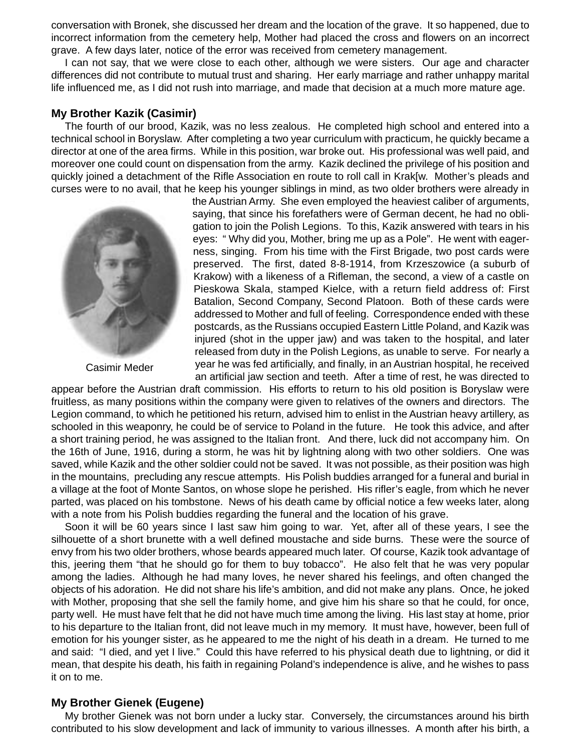conversation with Bronek, she discussed her dream and the location of the grave. It so happened, due to incorrect information from the cemetery help, Mother had placed the cross and flowers on an incorrect grave. A few days later, notice of the error was received from cemetery management.

I can not say, that we were close to each other, although we were sisters. Our age and character differences did not contribute to mutual trust and sharing. Her early marriage and rather unhappy marital life influenced me, as I did not rush into marriage, and made that decision at a much more mature age.

## **My Brother Kazik (Casimir)**

The fourth of our brood, Kazik, was no less zealous. He completed high school and entered into a technical school in Boryslaw. After completing a two year curriculum with practicum, he quickly became a director at one of the area firms. While in this position, war broke out. His professional was well paid, and moreover one could count on dispensation from the army. Kazik declined the privilege of his position and quickly joined a detachment of the Rifle Association en route to roll call in Krak[w. Mother's pleads and curses were to no avail, that he keep his younger siblings in mind, as two older brothers were already in



Casimir Meder

the Austrian Army. She even employed the heaviest caliber of arguments, saying, that since his forefathers were of German decent, he had no obligation to join the Polish Legions. To this, Kazik answered with tears in his eyes: " Why did you, Mother, bring me up as a Pole". He went with eagerness, singing. From his time with the First Brigade, two post cards were preserved. The first, dated 8-8-1914, from Krzeszowice (a suburb of Krakow) with a likeness of a Rifleman, the second, a view of a castle on Pieskowa Skala, stamped Kielce, with a return field address of: First Batalion, Second Company, Second Platoon. Both of these cards were addressed to Mother and full of feeling. Correspondence ended with these postcards, as the Russians occupied Eastern Little Poland, and Kazik was injured (shot in the upper jaw) and was taken to the hospital, and later released from duty in the Polish Legions, as unable to serve. For nearly a year he was fed artificially, and finally, in an Austrian hospital, he received an artificial jaw section and teeth. After a time of rest, he was directed to

appear before the Austrian draft commission. His efforts to return to his old position is Boryslaw were fruitless, as many positions within the company were given to relatives of the owners and directors. The Legion command, to which he petitioned his return, advised him to enlist in the Austrian heavy artillery, as schooled in this weaponry, he could be of service to Poland in the future. He took this advice, and after a short training period, he was assigned to the Italian front. And there, luck did not accompany him. On the 16th of June, 1916, during a storm, he was hit by lightning along with two other soldiers. One was saved, while Kazik and the other soldier could not be saved. It was not possible, as their position was high in the mountains, precluding any rescue attempts. His Polish buddies arranged for a funeral and burial in a village at the foot of Monte Santos, on whose slope he perished. His rifler's eagle, from which he never parted, was placed on his tombstone. News of his death came by official notice a few weeks later, along with a note from his Polish buddies regarding the funeral and the location of his grave.

Soon it will be 60 years since I last saw him going to war. Yet, after all of these years, I see the silhouette of a short brunette with a well defined moustache and side burns. These were the source of envy from his two older brothers, whose beards appeared much later. Of course, Kazik took advantage of this, jeering them "that he should go for them to buy tobacco". He also felt that he was very popular among the ladies. Although he had many loves, he never shared his feelings, and often changed the objects of his adoration. He did not share his life's ambition, and did not make any plans. Once, he joked with Mother, proposing that she sell the family home, and give him his share so that he could, for once, party well. He must have felt that he did not have much time among the living. His last stay at home, prior to his departure to the Italian front, did not leave much in my memory. It must have, however, been full of emotion for his younger sister, as he appeared to me the night of his death in a dream. He turned to me and said: "I died, and yet I live." Could this have referred to his physical death due to lightning, or did it mean, that despite his death, his faith in regaining Poland's independence is alive, and he wishes to pass it on to me.

## **My Brother Gienek (Eugene)**

My brother Gienek was not born under a lucky star. Conversely, the circumstances around his birth contributed to his slow development and lack of immunity to various illnesses. A month after his birth, a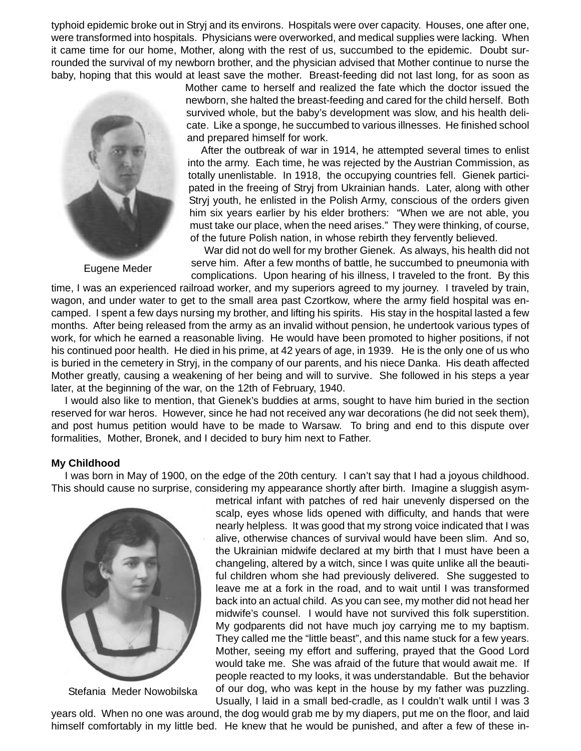typhoid epidemic broke out in Stryj and its environs. Hospitals were over capacity. Houses, one after one, were transformed into hospitals. Physicians were overworked, and medical supplies were lacking. When it came time for our home, Mother, along with the rest of us, succumbed to the epidemic. Doubt surrounded the survival of my newborn brother, and the physician advised that Mother continue to nurse the baby, hoping that this would at least save the mother. Breast-feeding did not last long, for as soon as



Eugene Meder

Mother came to herself and realized the fate which the doctor issued the newborn, she halted the breast-feeding and cared for the child herself. Both survived whole, but the baby's development was slow, and his health delicate. Like a sponge, he succumbed to various illnesses. He finished school and prepared himself for work.

After the outbreak of war in 1914, he attempted several times to enlist into the army. Each time, he was rejected by the Austrian Commission, as totally unenlistable. In 1918, the occupying countries fell. Gienek participated in the freeing of Stryj from Ukrainian hands. Later, along with other Stryj youth, he enlisted in the Polish Army, conscious of the orders given him six years earlier by his elder brothers: "When we are not able, you must take our place, when the need arises." They were thinking, of course, of the future Polish nation, in whose rebirth they fervently believed.

War did not do well for my brother Gienek. As always, his health did not serve him. After a few months of battle, he succumbed to pneumonia with complications. Upon hearing of his illness, I traveled to the front. By this

time, I was an experienced railroad worker, and my superiors agreed to my journey. I traveled by train, wagon, and under water to get to the small area past Czortkow, where the army field hospital was encamped. I spent a few days nursing my brother, and lifting his spirits. His stay in the hospital lasted a few months. After being released from the army as an invalid without pension, he undertook various types of work, for which he earned a reasonable living. He would have been promoted to higher positions, if not his continued poor health. He died in his prime, at 42 years of age, in 1939. He is the only one of us who is buried in the cemetery in Stryj, in the company of our parents, and his niece Danka. His death affected Mother greatly, causing a weakening of her being and will to survive. She followed in his steps a year later, at the beginning of the war, on the 12th of February, 1940.

I would also like to mention, that Gienek's buddies at arms, sought to have him buried in the section reserved for war heros. However, since he had not received any war decorations (he did not seek them), and post humus petition would have to be made to Warsaw. To bring and end to this dispute over formalities, Mother, Bronek, and I decided to bury him next to Father.

#### **My Childhood**

I was born in May of 1900, on the edge of the 20th century. I can't say that I had a joyous childhood. This should cause no surprise, considering my appearance shortly after birth. Imagine a sluggish asym-



Stefania Meder Nowobilska

metrical infant with patches of red hair unevenly dispersed on the scalp, eyes whose lids opened with difficulty, and hands that were nearly helpless. It was good that my strong voice indicated that I was alive, otherwise chances of survival would have been slim. And so, the Ukrainian midwife declared at my birth that I must have been a changeling, altered by a witch, since I was quite unlike all the beautiful children whom she had previously delivered. She suggested to leave me at a fork in the road, and to wait until I was transformed back into an actual child. As you can see, my mother did not head her midwife's counsel. I would have not survived this folk superstition. My godparents did not have much joy carrying me to my baptism. They called me the "little beast", and this name stuck for a few years. Mother, seeing my effort and suffering, prayed that the Good Lord would take me. She was afraid of the future that would await me. If people reacted to my looks, it was understandable. But the behavior of our dog, who was kept in the house by my father was puzzling.

Usually, I laid in a small bed-cradle, as I couldn't walk until I was 3 years old. When no one was around, the dog would grab me by my diapers, put me on the floor, and laid himself comfortably in my little bed. He knew that he would be punished, and after a few of these in